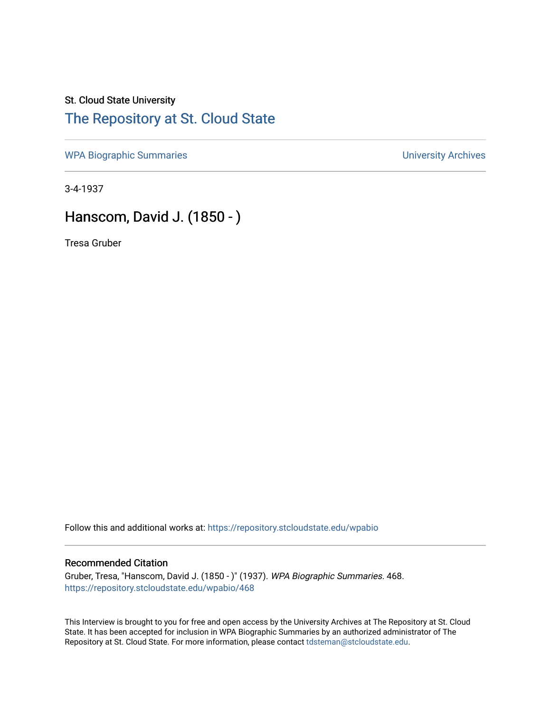## St. Cloud State University [The Repository at St. Cloud State](https://repository.stcloudstate.edu/)

[WPA Biographic Summaries](https://repository.stcloudstate.edu/wpabio) **WPA Biographic Summaries University Archives** 

3-4-1937

## Hanscom, David J. (1850 - )

Tresa Gruber

Follow this and additional works at: [https://repository.stcloudstate.edu/wpabio](https://repository.stcloudstate.edu/wpabio?utm_source=repository.stcloudstate.edu%2Fwpabio%2F468&utm_medium=PDF&utm_campaign=PDFCoverPages) 

## Recommended Citation

Gruber, Tresa, "Hanscom, David J. (1850 - )" (1937). WPA Biographic Summaries. 468. [https://repository.stcloudstate.edu/wpabio/468](https://repository.stcloudstate.edu/wpabio/468?utm_source=repository.stcloudstate.edu%2Fwpabio%2F468&utm_medium=PDF&utm_campaign=PDFCoverPages) 

This Interview is brought to you for free and open access by the University Archives at The Repository at St. Cloud State. It has been accepted for inclusion in WPA Biographic Summaries by an authorized administrator of The Repository at St. Cloud State. For more information, please contact [tdsteman@stcloudstate.edu.](mailto:tdsteman@stcloudstate.edu)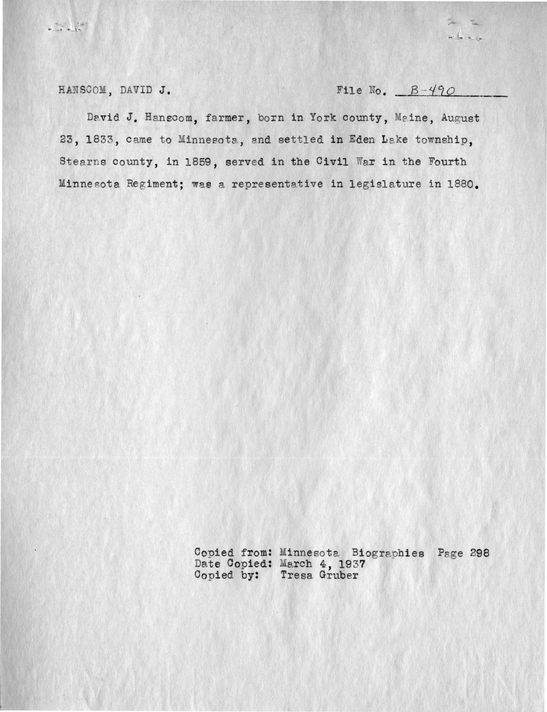HANSCOM, DAVID J.

File No.  $B-490$ 

where

David J. Hanscom, farmer, born in York county, Maine, August 23, 1833, came to Minnesota, and settled in Eden Lake township, Stearns county, in 1859, served in the Civil War in the Fourth Minnesota Regiment; was a representative in legislature in 1880.

Copied from: Minnesota Biographies Page 298<br>Date Copied: March 4, 1937<br>Copied by: Tresa Gruber